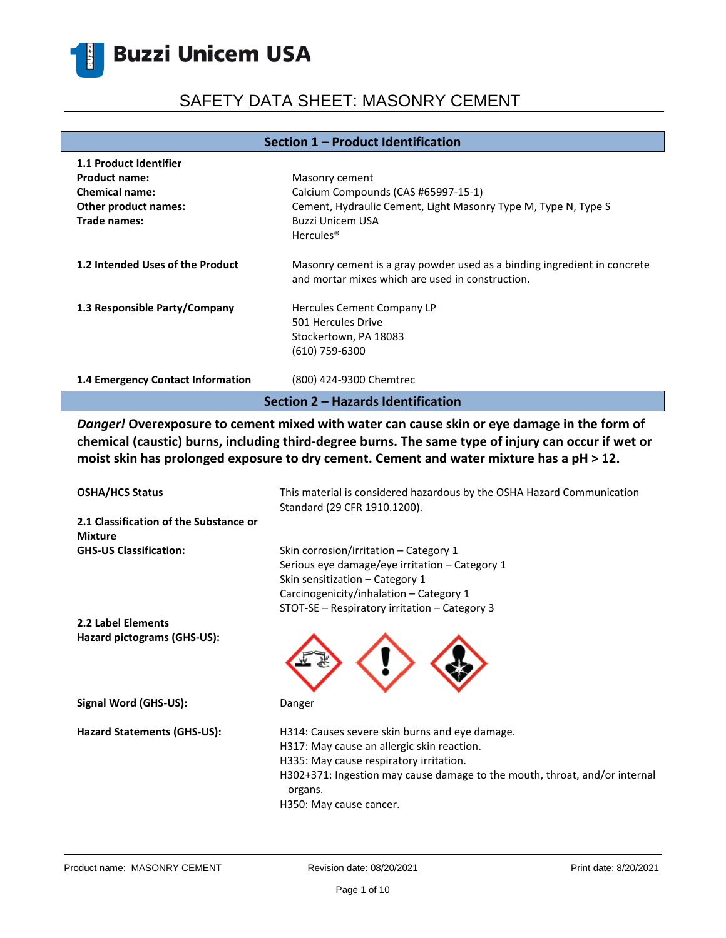# SAFETY DATA SHEET: MASONRY CEMENT

#### **Section 1 – Product Identification**

| <b>1.1 Product Identifier</b>      |                                                                                                                              |  |
|------------------------------------|------------------------------------------------------------------------------------------------------------------------------|--|
| <b>Product name:</b>               | Masonry cement                                                                                                               |  |
| <b>Chemical name:</b>              | Calcium Compounds (CAS #65997-15-1)                                                                                          |  |
| Other product names:               | Cement, Hydraulic Cement, Light Masonry Type M, Type N, Type S                                                               |  |
| Trade names:                       | Buzzi Unicem USA                                                                                                             |  |
|                                    | Hercules <sup>®</sup>                                                                                                        |  |
| 1.2 Intended Uses of the Product   | Masonry cement is a gray powder used as a binding ingredient in concrete<br>and mortar mixes which are used in construction. |  |
| 1.3 Responsible Party/Company      | Hercules Cement Company LP                                                                                                   |  |
|                                    | 501 Hercules Drive                                                                                                           |  |
|                                    | Stockertown, PA 18083                                                                                                        |  |
|                                    | (610) 759-6300                                                                                                               |  |
| 1.4 Emergency Contact Information  | (800) 424-9300 Chemtrec                                                                                                      |  |
| Section 2 – Hazards Identification |                                                                                                                              |  |

*Danger!* **Overexposure to cement mixed with water can cause skin or eye damage in the form of chemical (caustic) burns, including third-degree burns. The same type of injury can occur if wet or moist skin has prolonged exposure to dry cement. Cement and water mixture has a pH ˃ 12.**

| <b>OSHA/HCS Status</b>                                   | This material is considered hazardous by the OSHA Hazard Communication<br>Standard (29 CFR 1910.1200). |
|----------------------------------------------------------|--------------------------------------------------------------------------------------------------------|
| 2.1 Classification of the Substance or<br><b>Mixture</b> |                                                                                                        |
| <b>GHS-US Classification:</b>                            | Skin corrosion/irritation – Category 1                                                                 |
|                                                          | Serious eye damage/eye irritation – Category 1                                                         |
|                                                          | Skin sensitization - Category 1                                                                        |
|                                                          | Carcinogenicity/inhalation - Category 1                                                                |
|                                                          | STOT-SE – Respiratory irritation – Category 3                                                          |
| 2.2 Label Elements                                       |                                                                                                        |
| Hazard pictograms (GHS-US):                              |                                                                                                        |
| Signal Word (GHS-US):                                    | Danger                                                                                                 |
| Hazard Statements (GHS-US):                              | H314: Causes severe skin burns and eye damage.                                                         |
|                                                          | H317: May cause an allergic skin reaction.                                                             |
|                                                          | H335: May cause respiratory irritation.                                                                |
|                                                          | H302+371: Ingestion may cause damage to the mouth, throat, and/or internal<br>organs.                  |
|                                                          | H350: May cause cancer.                                                                                |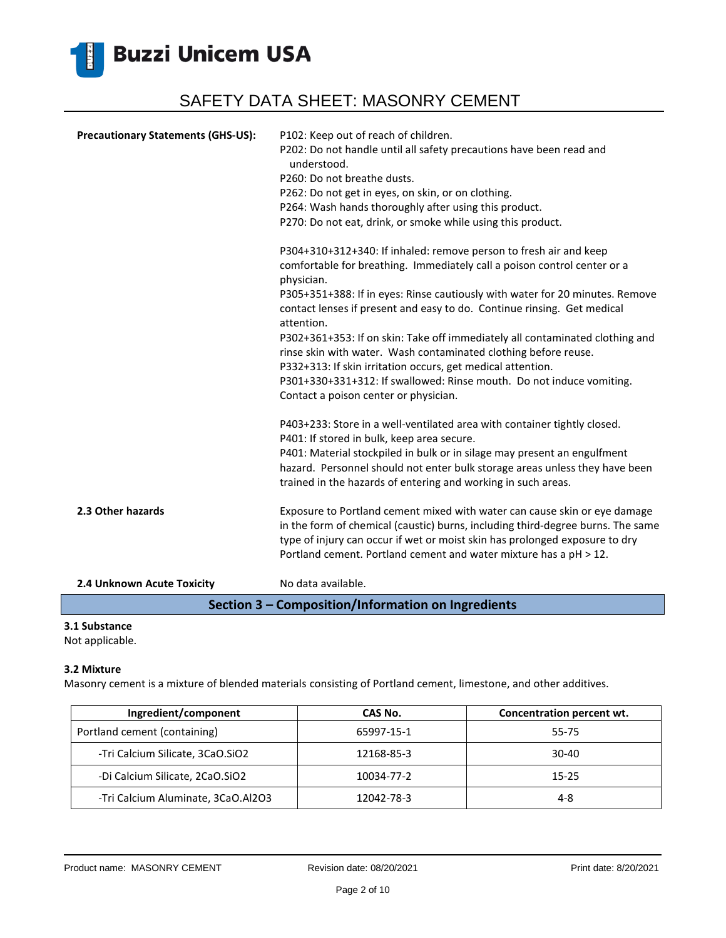

| <b>Precautionary Statements (GHS-US):</b>          | P102: Keep out of reach of children.                                                                                                                                                                           |  |
|----------------------------------------------------|----------------------------------------------------------------------------------------------------------------------------------------------------------------------------------------------------------------|--|
|                                                    | P202: Do not handle until all safety precautions have been read and<br>understood.                                                                                                                             |  |
|                                                    | P260: Do not breathe dusts.                                                                                                                                                                                    |  |
|                                                    | P262: Do not get in eyes, on skin, or on clothing.                                                                                                                                                             |  |
|                                                    | P264: Wash hands thoroughly after using this product.                                                                                                                                                          |  |
|                                                    | P270: Do not eat, drink, or smoke while using this product.                                                                                                                                                    |  |
|                                                    | P304+310+312+340: If inhaled: remove person to fresh air and keep                                                                                                                                              |  |
|                                                    | comfortable for breathing. Immediately call a poison control center or a<br>physician.                                                                                                                         |  |
|                                                    | P305+351+388: If in eyes: Rinse cautiously with water for 20 minutes. Remove<br>contact lenses if present and easy to do. Continue rinsing. Get medical<br>attention.                                          |  |
|                                                    | P302+361+353: If on skin: Take off immediately all contaminated clothing and<br>rinse skin with water. Wash contaminated clothing before reuse.<br>P332+313: If skin irritation occurs, get medical attention. |  |
|                                                    | P301+330+331+312: If swallowed: Rinse mouth. Do not induce vomiting.<br>Contact a poison center or physician.                                                                                                  |  |
|                                                    | P403+233: Store in a well-ventilated area with container tightly closed.<br>P401: If stored in bulk, keep area secure.                                                                                         |  |
|                                                    | P401: Material stockpiled in bulk or in silage may present an engulfment                                                                                                                                       |  |
|                                                    | hazard. Personnel should not enter bulk storage areas unless they have been                                                                                                                                    |  |
|                                                    | trained in the hazards of entering and working in such areas.                                                                                                                                                  |  |
| 2.3 Other hazards                                  | Exposure to Portland cement mixed with water can cause skin or eye damage                                                                                                                                      |  |
|                                                    | in the form of chemical (caustic) burns, including third-degree burns. The same                                                                                                                                |  |
|                                                    | type of injury can occur if wet or moist skin has prolonged exposure to dry<br>Portland cement. Portland cement and water mixture has a pH > 12.                                                               |  |
| 2.4 Unknown Acute Toxicity                         | No data available.                                                                                                                                                                                             |  |
| Section 3 - Composition/Information on Ingredients |                                                                                                                                                                                                                |  |

#### **3.1 Substance**

Not applicable.

#### **3.2 Mixture**

Masonry cement is a mixture of blended materials consisting of Portland cement, limestone, and other additives.

| Ingredient/component               | CAS No.    | Concentration percent wt. |
|------------------------------------|------------|---------------------------|
| Portland cement (containing)       | 65997-15-1 | 55-75                     |
| -Tri Calcium Silicate, 3CaO.SiO2   | 12168-85-3 | 30-40                     |
| -Di Calcium Silicate, 2CaO.SiO2    | 10034-77-2 | 15-25                     |
| -Tri Calcium Aluminate, 3CaO.Al2O3 | 12042-78-3 | 4-8                       |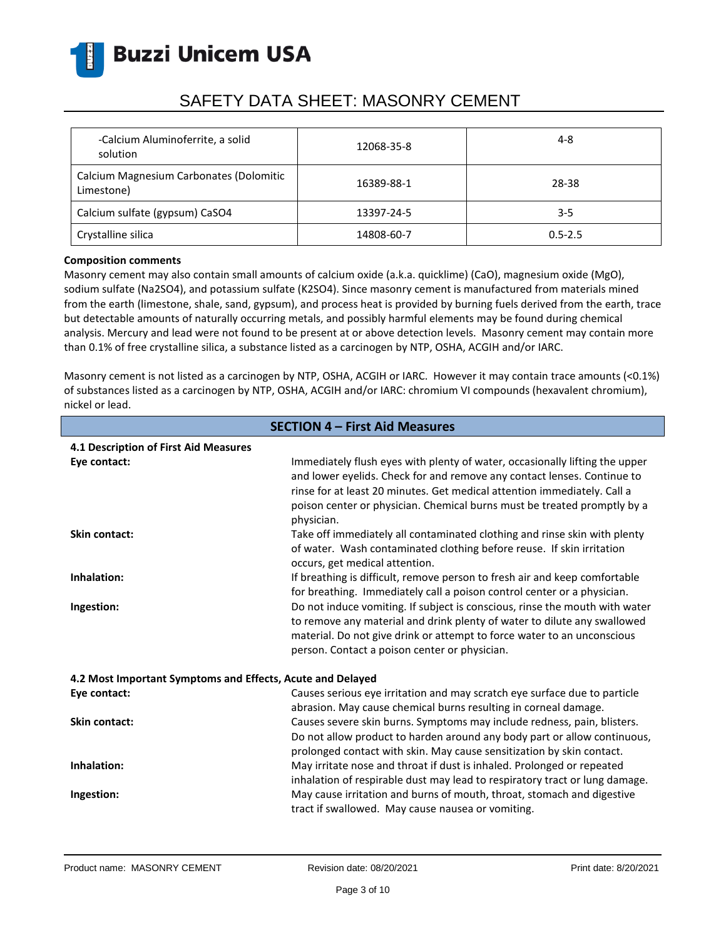

| -Calcium Aluminoferrite, a solid<br>solution          | 12068-35-8 | $4 - 8$     |
|-------------------------------------------------------|------------|-------------|
| Calcium Magnesium Carbonates (Dolomitic<br>Limestone) | 16389-88-1 | 28-38       |
| Calcium sulfate (gypsum) CaSO4                        | 13397-24-5 | $3 - 5$     |
| Crystalline silica                                    | 14808-60-7 | $0.5 - 2.5$ |

#### **Composition comments**

Masonry cement may also contain small amounts of calcium oxide (a.k.a. quicklime) (CaO), magnesium oxide (MgO), sodium sulfate (Na2SO4), and potassium sulfate (K2SO4). Since masonry cement is manufactured from materials mined from the earth (limestone, shale, sand, gypsum), and process heat is provided by burning fuels derived from the earth, trace but detectable amounts of naturally occurring metals, and possibly harmful elements may be found during chemical analysis. Mercury and lead were not found to be present at or above detection levels. Masonry cement may contain more than 0.1% of free crystalline silica, a substance listed as a carcinogen by NTP, OSHA, ACGIH and/or IARC.

Masonry cement is not listed as a carcinogen by NTP, OSHA, ACGIH or IARC. However it may contain trace amounts (<0.1%) of substances listed as a carcinogen by NTP, OSHA, ACGIH and/or IARC: chromium VI compounds (hexavalent chromium), nickel or lead.

| <b>SECTION 4 - First Aid Measures</b>                      |                                                                                                                                                                                                                                                                                                                              |  |
|------------------------------------------------------------|------------------------------------------------------------------------------------------------------------------------------------------------------------------------------------------------------------------------------------------------------------------------------------------------------------------------------|--|
| 4.1 Description of First Aid Measures                      |                                                                                                                                                                                                                                                                                                                              |  |
| Eye contact:                                               | Immediately flush eyes with plenty of water, occasionally lifting the upper<br>and lower eyelids. Check for and remove any contact lenses. Continue to<br>rinse for at least 20 minutes. Get medical attention immediately. Call a<br>poison center or physician. Chemical burns must be treated promptly by a<br>physician. |  |
| <b>Skin contact:</b>                                       | Take off immediately all contaminated clothing and rinse skin with plenty<br>of water. Wash contaminated clothing before reuse. If skin irritation<br>occurs, get medical attention.                                                                                                                                         |  |
| Inhalation:                                                | If breathing is difficult, remove person to fresh air and keep comfortable<br>for breathing. Immediately call a poison control center or a physician.                                                                                                                                                                        |  |
| Ingestion:                                                 | Do not induce vomiting. If subject is conscious, rinse the mouth with water<br>to remove any material and drink plenty of water to dilute any swallowed<br>material. Do not give drink or attempt to force water to an unconscious<br>person. Contact a poison center or physician.                                          |  |
| 4.2 Most Important Symptoms and Effects, Acute and Delayed |                                                                                                                                                                                                                                                                                                                              |  |
| Eye contact:                                               | Causes serious eye irritation and may scratch eye surface due to particle<br>abrasion. May cause chemical burns resulting in corneal damage.                                                                                                                                                                                 |  |
| <b>Skin contact:</b>                                       | Causes severe skin burns. Symptoms may include redness, pain, blisters.<br>Do not allow product to harden around any body part or allow continuous,<br>prolonged contact with skin. May cause sensitization by skin contact.                                                                                                 |  |
| Inhalation:                                                | May irritate nose and throat if dust is inhaled. Prolonged or repeated<br>inhalation of respirable dust may lead to respiratory tract or lung damage.                                                                                                                                                                        |  |
| Ingestion:                                                 | May cause irritation and burns of mouth, throat, stomach and digestive<br>tract if swallowed. May cause nausea or vomiting.                                                                                                                                                                                                  |  |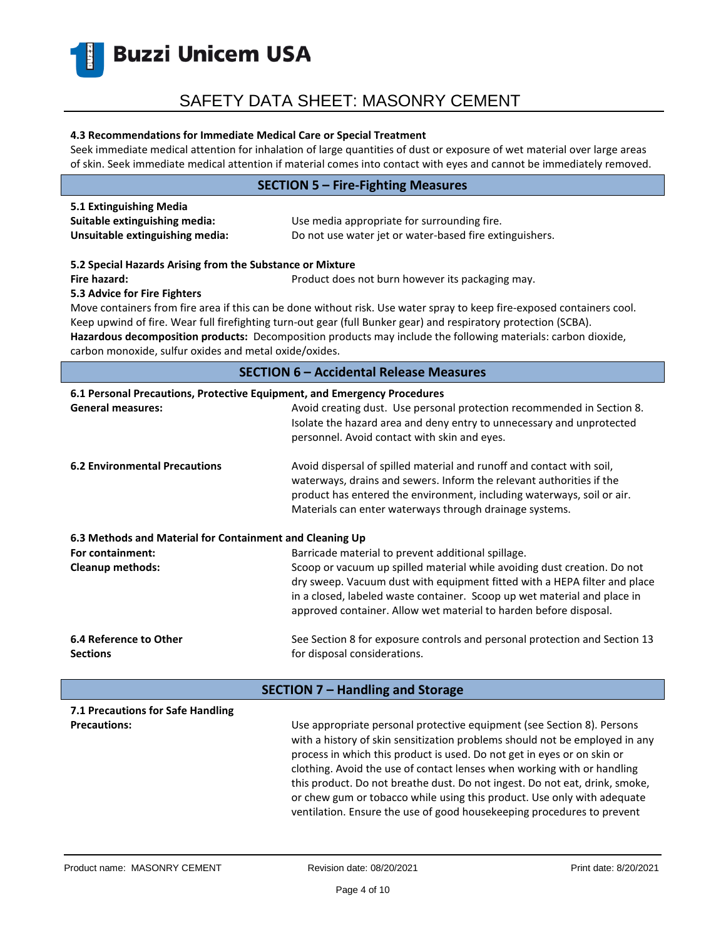### SAFETY DATA SHEET: MASONRY CEMENT

#### **4.3 Recommendations for Immediate Medical Care or Special Treatment**

Seek immediate medical attention for inhalation of large quantities of dust or exposure of wet material over large areas of skin. Seek immediate medical attention if material comes into contact with eyes and cannot be immediately removed.

|                                                                                                           | <b>SECTION 5 - Fire-Fighting Measures</b>                                                                                                                                                                                                                                                                                                                                                                                                                                                                                                       |  |
|-----------------------------------------------------------------------------------------------------------|-------------------------------------------------------------------------------------------------------------------------------------------------------------------------------------------------------------------------------------------------------------------------------------------------------------------------------------------------------------------------------------------------------------------------------------------------------------------------------------------------------------------------------------------------|--|
| 5.1 Extinguishing Media<br>Suitable extinguishing media:<br>Unsuitable extinguishing media:               | Use media appropriate for surrounding fire.<br>Do not use water jet or water-based fire extinguishers.                                                                                                                                                                                                                                                                                                                                                                                                                                          |  |
| 5.2 Special Hazards Arising from the Substance or Mixture<br>Fire hazard:<br>5.3 Advice for Fire Fighters | Product does not burn however its packaging may.                                                                                                                                                                                                                                                                                                                                                                                                                                                                                                |  |
| carbon monoxide, sulfur oxides and metal oxide/oxides.                                                    | Move containers from fire area if this can be done without risk. Use water spray to keep fire-exposed containers cool.<br>Keep upwind of fire. Wear full firefighting turn-out gear (full Bunker gear) and respiratory protection (SCBA).<br>Hazardous decomposition products: Decomposition products may include the following materials: carbon dioxide,                                                                                                                                                                                      |  |
|                                                                                                           | <b>SECTION 6 - Accidental Release Measures</b>                                                                                                                                                                                                                                                                                                                                                                                                                                                                                                  |  |
| 6.1 Personal Precautions, Protective Equipment, and Emergency Procedures                                  |                                                                                                                                                                                                                                                                                                                                                                                                                                                                                                                                                 |  |
| <b>General measures:</b>                                                                                  | Avoid creating dust. Use personal protection recommended in Section 8.<br>Isolate the hazard area and deny entry to unnecessary and unprotected<br>personnel. Avoid contact with skin and eyes.                                                                                                                                                                                                                                                                                                                                                 |  |
| <b>6.2 Environmental Precautions</b>                                                                      | Avoid dispersal of spilled material and runoff and contact with soil,<br>waterways, drains and sewers. Inform the relevant authorities if the<br>product has entered the environment, including waterways, soil or air.<br>Materials can enter waterways through drainage systems.                                                                                                                                                                                                                                                              |  |
| 6.3 Methods and Material for Containment and Cleaning Up                                                  |                                                                                                                                                                                                                                                                                                                                                                                                                                                                                                                                                 |  |
| For containment:                                                                                          | Barricade material to prevent additional spillage.                                                                                                                                                                                                                                                                                                                                                                                                                                                                                              |  |
| <b>Cleanup methods:</b>                                                                                   | Scoop or vacuum up spilled material while avoiding dust creation. Do not<br>dry sweep. Vacuum dust with equipment fitted with a HEPA filter and place<br>in a closed, labeled waste container. Scoop up wet material and place in<br>approved container. Allow wet material to harden before disposal.                                                                                                                                                                                                                                          |  |
| 6.4 Reference to Other<br><b>Sections</b>                                                                 | See Section 8 for exposure controls and personal protection and Section 13<br>for disposal considerations.                                                                                                                                                                                                                                                                                                                                                                                                                                      |  |
|                                                                                                           | <b>SECTION 7 - Handling and Storage</b>                                                                                                                                                                                                                                                                                                                                                                                                                                                                                                         |  |
| 7.1 Precautions for Safe Handling                                                                         |                                                                                                                                                                                                                                                                                                                                                                                                                                                                                                                                                 |  |
| <b>Precautions:</b>                                                                                       | Use appropriate personal protective equipment (see Section 8). Persons<br>with a history of skin sensitization problems should not be employed in any<br>process in which this product is used. Do not get in eyes or on skin or<br>clothing. Avoid the use of contact lenses when working with or handling<br>this product. Do not breathe dust. Do not ingest. Do not eat, drink, smoke,<br>or chew gum or tobacco while using this product. Use only with adequate<br>ventilation. Ensure the use of good housekeeping procedures to prevent |  |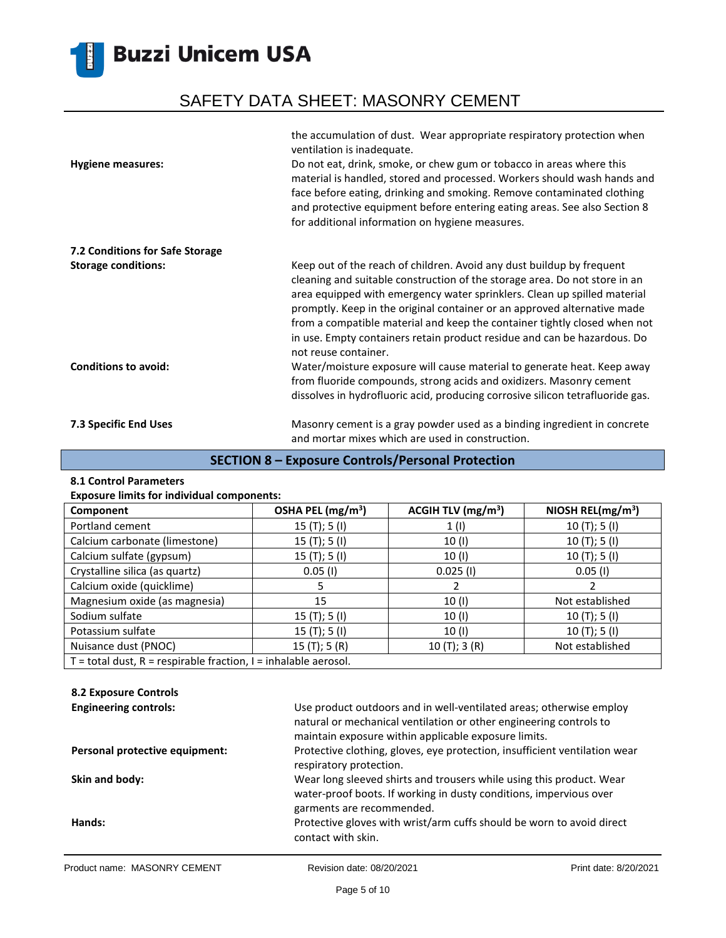# SAFETY DATA SHEET: MASONRY CEMENT

|                                 | the accumulation of dust. Wear appropriate respiratory protection when<br>ventilation is inadequate.                                                                                                                                                                                                                                                                                                                                                                                         |
|---------------------------------|----------------------------------------------------------------------------------------------------------------------------------------------------------------------------------------------------------------------------------------------------------------------------------------------------------------------------------------------------------------------------------------------------------------------------------------------------------------------------------------------|
| <b>Hygiene measures:</b>        | Do not eat, drink, smoke, or chew gum or tobacco in areas where this<br>material is handled, stored and processed. Workers should wash hands and<br>face before eating, drinking and smoking. Remove contaminated clothing<br>and protective equipment before entering eating areas. See also Section 8<br>for additional information on hygiene measures.                                                                                                                                   |
| 7.2 Conditions for Safe Storage |                                                                                                                                                                                                                                                                                                                                                                                                                                                                                              |
| <b>Storage conditions:</b>      | Keep out of the reach of children. Avoid any dust buildup by frequent<br>cleaning and suitable construction of the storage area. Do not store in an<br>area equipped with emergency water sprinklers. Clean up spilled material<br>promptly. Keep in the original container or an approved alternative made<br>from a compatible material and keep the container tightly closed when not<br>in use. Empty containers retain product residue and can be hazardous. Do<br>not reuse container. |
| <b>Conditions to avoid:</b>     | Water/moisture exposure will cause material to generate heat. Keep away<br>from fluoride compounds, strong acids and oxidizers. Masonry cement<br>dissolves in hydrofluoric acid, producing corrosive silicon tetrafluoride gas.                                                                                                                                                                                                                                                             |
| 7.3 Specific End Uses           | Masonry cement is a gray powder used as a binding ingredient in concrete<br>and mortar mixes which are used in construction.                                                                                                                                                                                                                                                                                                                                                                 |

### **SECTION 8 – Exposure Controls/Personal Protection**

#### **8.1 Control Parameters**

Ř.

|  |  |  | <b>Exposure limits for individual components:</b> |
|--|--|--|---------------------------------------------------|
|--|--|--|---------------------------------------------------|

| Component                                                             | OSHA PEL (mg/m <sup>3</sup> ) | ACGIH TLV $(mg/m3)$ | NIOSH REL( $mg/m3$ ) |
|-----------------------------------------------------------------------|-------------------------------|---------------------|----------------------|
| Portland cement                                                       | 15 $(T);$ 5 $(I)$             | 1(1)                | 10(T); 5(I)          |
| Calcium carbonate (limestone)                                         | 15 $(T);$ 5 $(I)$             | 10 (I)              | 10(T); 5(I)          |
| Calcium sulfate (gypsum)                                              | 15 $(T);$ 5 $(I)$             | 10(1)               | 10(T); 5(I)          |
| Crystalline silica (as quartz)                                        | $0.05$ (I)                    | $0.025$ (I)         | $0.05$ (I)           |
| Calcium oxide (quicklime)                                             |                               |                     |                      |
| Magnesium oxide (as magnesia)                                         | 15                            | 10(1)               | Not established      |
| Sodium sulfate                                                        | 15(T); 5(I)                   | 10(1)               | 10 $(T); 5(I)$       |
| Potassium sulfate                                                     | 15(T); 5(I)                   | 10 (I)              | 10(T); 5(I)          |
| Nuisance dust (PNOC)                                                  | 15(T); 5(R)                   | 10(T); 3(R)         | Not established      |
| $T =$ total dust, $R =$ respirable fraction, $I =$ inhalable aerosol. |                               |                     |                      |

#### **8.2 Exposure Controls**

| <b>Engineering controls:</b>   | Use product outdoors and in well-ventilated areas; otherwise employ<br>natural or mechanical ventilation or other engineering controls to<br>maintain exposure within applicable exposure limits. |
|--------------------------------|---------------------------------------------------------------------------------------------------------------------------------------------------------------------------------------------------|
| Personal protective equipment: | Protective clothing, gloves, eye protection, insufficient ventilation wear<br>respiratory protection.                                                                                             |
| Skin and body:                 | Wear long sleeved shirts and trousers while using this product. Wear<br>water-proof boots. If working in dusty conditions, impervious over<br>garments are recommended.                           |
| Hands:                         | Protective gloves with wrist/arm cuffs should be worn to avoid direct<br>contact with skin.                                                                                                       |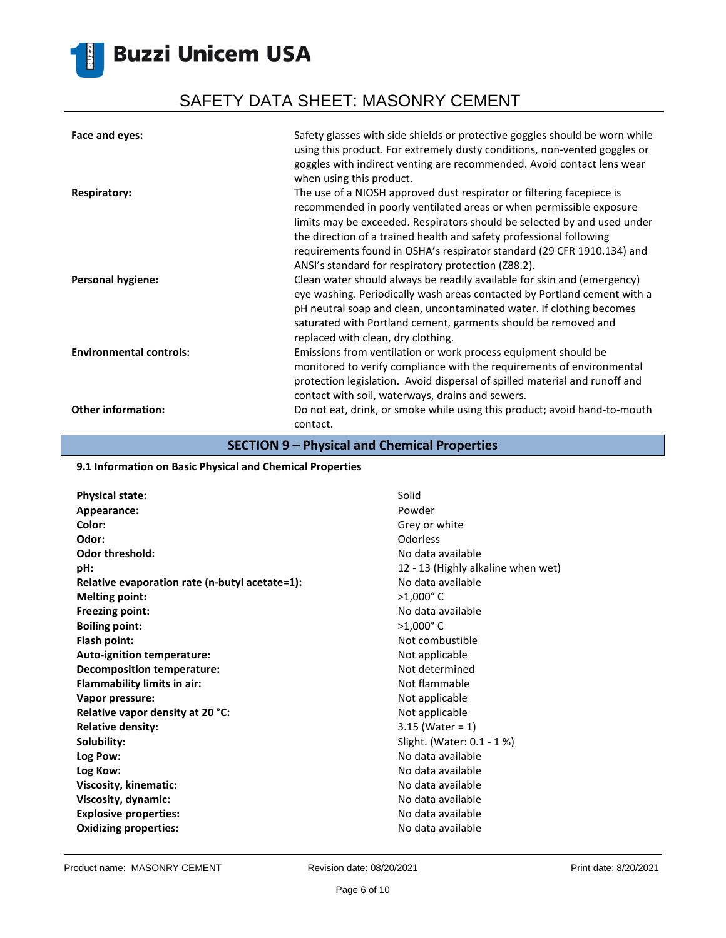# SAFETY DATA SHEET: MASONRY CEMENT

| Face and eyes:                 | Safety glasses with side shields or protective goggles should be worn while<br>using this product. For extremely dusty conditions, non-vented goggles or<br>goggles with indirect venting are recommended. Avoid contact lens wear<br>when using this product.                                                                                                                                                                                                       |
|--------------------------------|----------------------------------------------------------------------------------------------------------------------------------------------------------------------------------------------------------------------------------------------------------------------------------------------------------------------------------------------------------------------------------------------------------------------------------------------------------------------|
| <b>Respiratory:</b>            | The use of a NIOSH approved dust respirator or filtering facepiece is<br>recommended in poorly ventilated areas or when permissible exposure<br>limits may be exceeded. Respirators should be selected by and used under<br>the direction of a trained health and safety professional following                                                                                                                                                                      |
| <b>Personal hygiene:</b>       | requirements found in OSHA's respirator standard (29 CFR 1910.134) and<br>ANSI's standard for respiratory protection (Z88.2).<br>Clean water should always be readily available for skin and (emergency)<br>eye washing. Periodically wash areas contacted by Portland cement with a<br>pH neutral soap and clean, uncontaminated water. If clothing becomes<br>saturated with Portland cement, garments should be removed and<br>replaced with clean, dry clothing. |
| <b>Environmental controls:</b> | Emissions from ventilation or work process equipment should be<br>monitored to verify compliance with the requirements of environmental<br>protection legislation. Avoid dispersal of spilled material and runoff and<br>contact with soil, waterways, drains and sewers.                                                                                                                                                                                            |
| <b>Other information:</b>      | Do not eat, drink, or smoke while using this product; avoid hand-to-mouth<br>contact.                                                                                                                                                                                                                                                                                                                                                                                |

### **SECTION 9 – Physical and Chemical Properties**

#### **9.1 Information on Basic Physical and Chemical Properties**

| <b>Physical state:</b>                         | Solid                              |
|------------------------------------------------|------------------------------------|
| Appearance:                                    | Powder                             |
| Color:                                         | Grey or white                      |
| Odor:                                          | <b>Odorless</b>                    |
| <b>Odor threshold:</b>                         | No data available                  |
| pH:                                            | 12 - 13 (Highly alkaline when wet) |
| Relative evaporation rate (n-butyl acetate=1): | No data available                  |
| <b>Melting point:</b>                          | $>1,000$ °C                        |
| <b>Freezing point:</b>                         | No data available                  |
| <b>Boiling point:</b>                          | $>1,000$ °C                        |
| Flash point:                                   | Not combustible                    |
| Auto-ignition temperature:                     | Not applicable                     |
| <b>Decomposition temperature:</b>              | Not determined                     |
| <b>Flammability limits in air:</b>             | Not flammable                      |
| Vapor pressure:                                | Not applicable                     |
| Relative vapor density at 20 °C:               | Not applicable                     |
| <b>Relative density:</b>                       | $3.15$ (Water = 1)                 |
| Solubility:                                    | Slight. (Water: 0.1 - 1 %)         |
| Log Pow:                                       | No data available                  |
| Log Kow:                                       | No data available                  |
| Viscosity, kinematic:                          | No data available                  |
| Viscosity, dynamic:                            | No data available                  |
| <b>Explosive properties:</b>                   | No data available                  |
| <b>Oxidizing properties:</b>                   | No data available                  |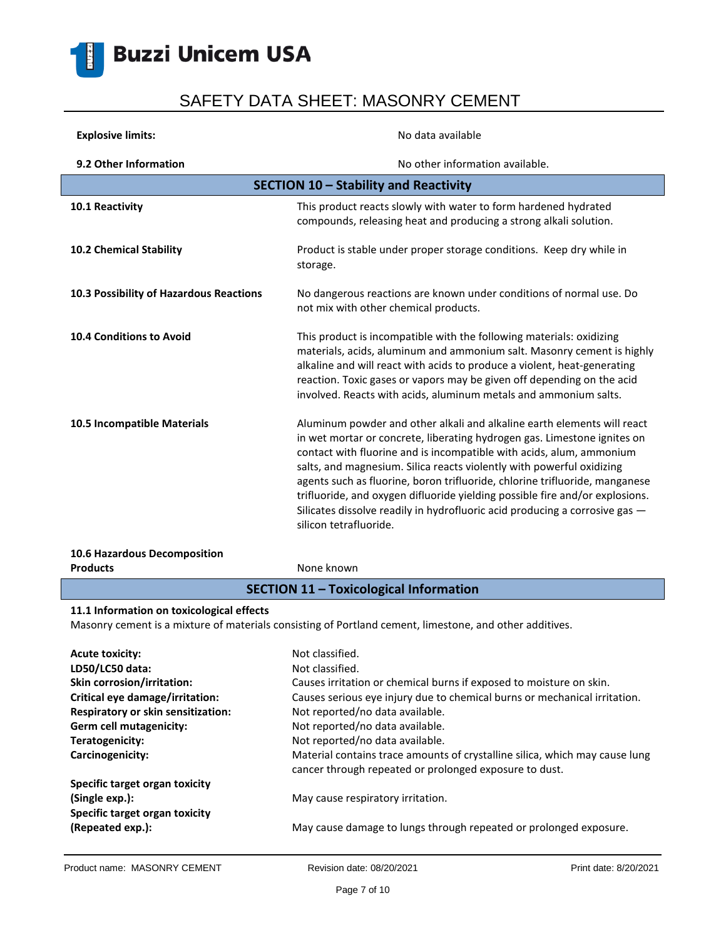

| <b>Explosive limits:</b>                                                                                                                             | No data available                                                                                                                                                                                                                                                                                                                                                                                                                                                                                                                                                            |  |
|------------------------------------------------------------------------------------------------------------------------------------------------------|------------------------------------------------------------------------------------------------------------------------------------------------------------------------------------------------------------------------------------------------------------------------------------------------------------------------------------------------------------------------------------------------------------------------------------------------------------------------------------------------------------------------------------------------------------------------------|--|
| 9.2 Other Information                                                                                                                                | No other information available.                                                                                                                                                                                                                                                                                                                                                                                                                                                                                                                                              |  |
| SECTION 10 - Stability and Reactivity                                                                                                                |                                                                                                                                                                                                                                                                                                                                                                                                                                                                                                                                                                              |  |
| 10.1 Reactivity                                                                                                                                      | This product reacts slowly with water to form hardened hydrated<br>compounds, releasing heat and producing a strong alkali solution.                                                                                                                                                                                                                                                                                                                                                                                                                                         |  |
| 10.2 Chemical Stability                                                                                                                              | Product is stable under proper storage conditions. Keep dry while in<br>storage.                                                                                                                                                                                                                                                                                                                                                                                                                                                                                             |  |
| 10.3 Possibility of Hazardous Reactions                                                                                                              | No dangerous reactions are known under conditions of normal use. Do<br>not mix with other chemical products.                                                                                                                                                                                                                                                                                                                                                                                                                                                                 |  |
| <b>10.4 Conditions to Avoid</b>                                                                                                                      | This product is incompatible with the following materials: oxidizing<br>materials, acids, aluminum and ammonium salt. Masonry cement is highly<br>alkaline and will react with acids to produce a violent, heat-generating<br>reaction. Toxic gases or vapors may be given off depending on the acid<br>involved. Reacts with acids, aluminum metals and ammonium salts.                                                                                                                                                                                                     |  |
| 10.5 Incompatible Materials                                                                                                                          | Aluminum powder and other alkali and alkaline earth elements will react<br>in wet mortar or concrete, liberating hydrogen gas. Limestone ignites on<br>contact with fluorine and is incompatible with acids, alum, ammonium<br>salts, and magnesium. Silica reacts violently with powerful oxidizing<br>agents such as fluorine, boron trifluoride, chlorine trifluoride, manganese<br>trifluoride, and oxygen difluoride yielding possible fire and/or explosions.<br>Silicates dissolve readily in hydrofluoric acid producing a corrosive gas -<br>silicon tetrafluoride. |  |
| 10.6 Hazardous Decomposition                                                                                                                         |                                                                                                                                                                                                                                                                                                                                                                                                                                                                                                                                                                              |  |
| <b>Products</b>                                                                                                                                      | None known                                                                                                                                                                                                                                                                                                                                                                                                                                                                                                                                                                   |  |
|                                                                                                                                                      | <b>SECTION 11 - Toxicological Information</b>                                                                                                                                                                                                                                                                                                                                                                                                                                                                                                                                |  |
| 11.1 Information on toxicological effects<br>Masonry cement is a mixture of materials consisting of Portland cement, limestone, and other additives. |                                                                                                                                                                                                                                                                                                                                                                                                                                                                                                                                                                              |  |
| <b>Acute toxicity:</b>                                                                                                                               | Not classified.                                                                                                                                                                                                                                                                                                                                                                                                                                                                                                                                                              |  |
| LD50/LC50 data:<br>Skin corrosion/irritation:                                                                                                        | Not classified.<br>Causes irritation or chemical burns if exposed to moisture on skin.                                                                                                                                                                                                                                                                                                                                                                                                                                                                                       |  |
| Critical eye damage/irritation:                                                                                                                      | Causes serious eye injury due to chemical burns or mechanical irritation.                                                                                                                                                                                                                                                                                                                                                                                                                                                                                                    |  |
| Respiratory or skin sensitization:                                                                                                                   | Not reported/no data available.                                                                                                                                                                                                                                                                                                                                                                                                                                                                                                                                              |  |
| Germ cell mutagenicity:                                                                                                                              | Not reported/no data available.                                                                                                                                                                                                                                                                                                                                                                                                                                                                                                                                              |  |
| Teratogenicity:                                                                                                                                      | Not reported/no data available.                                                                                                                                                                                                                                                                                                                                                                                                                                                                                                                                              |  |
| Carcinogenicity:                                                                                                                                     | Material contains trace amounts of crystalline silica, which may cause lung<br>cancer through repeated or prolonged exposure to dust.                                                                                                                                                                                                                                                                                                                                                                                                                                        |  |
| Specific target organ toxicity                                                                                                                       |                                                                                                                                                                                                                                                                                                                                                                                                                                                                                                                                                                              |  |
| (Single exp.):                                                                                                                                       | May cause respiratory irritation.                                                                                                                                                                                                                                                                                                                                                                                                                                                                                                                                            |  |
| Specific target organ toxicity                                                                                                                       |                                                                                                                                                                                                                                                                                                                                                                                                                                                                                                                                                                              |  |
| (Repeated exp.):                                                                                                                                     | May cause damage to lungs through repeated or prolonged exposure.                                                                                                                                                                                                                                                                                                                                                                                                                                                                                                            |  |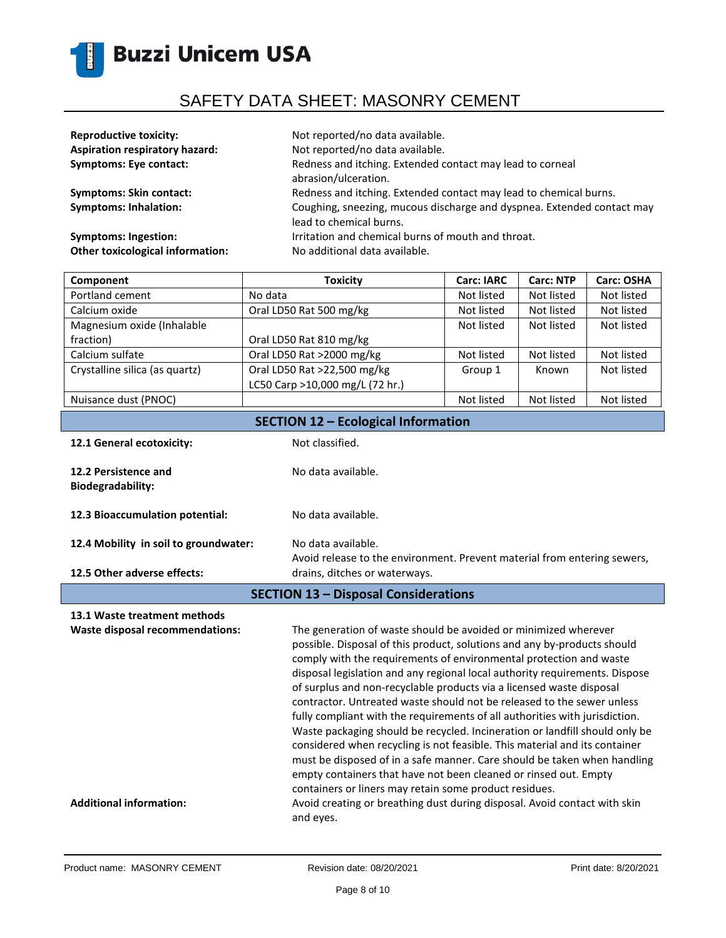

| <b>Reproductive toxicity:</b>         | Not reported/no data available.                                        |
|---------------------------------------|------------------------------------------------------------------------|
| <b>Aspiration respiratory hazard:</b> | Not reported/no data available.                                        |
| <b>Symptoms: Eye contact:</b>         | Redness and itching. Extended contact may lead to corneal              |
|                                       | abrasion/ulceration.                                                   |
| <b>Symptoms: Skin contact:</b>        | Redness and itching. Extended contact may lead to chemical burns.      |
| <b>Symptoms: Inhalation:</b>          | Coughing, sneezing, mucous discharge and dyspnea. Extended contact may |
|                                       | lead to chemical burns.                                                |
| <b>Symptoms: Ingestion:</b>           | Irritation and chemical burns of mouth and throat.                     |
| Other toxicological information:      | No additional data available.                                          |
|                                       |                                                                        |

| <b>Toxicity</b>                 | <b>Carc: IARC</b> | <b>Carc: NTP</b> | Carc: OSHA |
|---------------------------------|-------------------|------------------|------------|
| No data                         | Not listed        | Not listed       | Not listed |
| Oral LD50 Rat 500 mg/kg         | Not listed        | Not listed       | Not listed |
|                                 | Not listed        | Not listed       | Not listed |
| Oral LD50 Rat 810 mg/kg         |                   |                  |            |
| Oral LD50 Rat >2000 mg/kg       | Not listed        | Not listed       | Not listed |
| Oral LD50 Rat >22,500 mg/kg     | Group 1           | Known            | Not listed |
| LC50 Carp >10,000 mg/L (72 hr.) |                   |                  |            |
|                                 | Not listed        | Not listed       | Not listed |
|                                 |                   |                  |            |

| <b>SECTION 12 - Ecological Information</b>                      |                                                                                                                                             |  |
|-----------------------------------------------------------------|---------------------------------------------------------------------------------------------------------------------------------------------|--|
| 12.1 General ecotoxicity:                                       | Not classified.                                                                                                                             |  |
| 12.2 Persistence and<br><b>Biodegradability:</b>                | No data available.                                                                                                                          |  |
| 12.3 Bioaccumulation potential:                                 | No data available.                                                                                                                          |  |
| 12.4 Mobility in soil to groundwater:                           | No data available.<br>Avoid release to the environment. Prevent material from entering sewers,                                              |  |
| 12.5 Other adverse effects:                                     | drains, ditches or waterways.                                                                                                               |  |
| <b>SECTION 13 - Disposal Considerations</b>                     |                                                                                                                                             |  |
| 13.1 Waste treatment methods<br>Waste disposal recommendations: | The generation of waste should be avoided or minimized wherever<br>naccipia. Disposal of this product, colutions and any by products should |  |

possible. Disposal of this product, solutions and any by-products should comply with the requirements of environmental protection and waste disposal legislation and any regional local authority requirements. Dispose of surplus and non-recyclable products via a licensed waste disposal contractor. Untreated waste should not be released to the sewer unless fully compliant with the requirements of all authorities with jurisdiction. Waste packaging should be recycled. Incineration or landfill should only be considered when recycling is not feasible. This material and its container must be disposed of in a safe manner. Care should be taken when handling empty containers that have not been cleaned or rinsed out. Empty containers or liners may retain some product residues. Additional information: **A**void creating or breathing dust during disposal. Avoid contact with skin and eyes.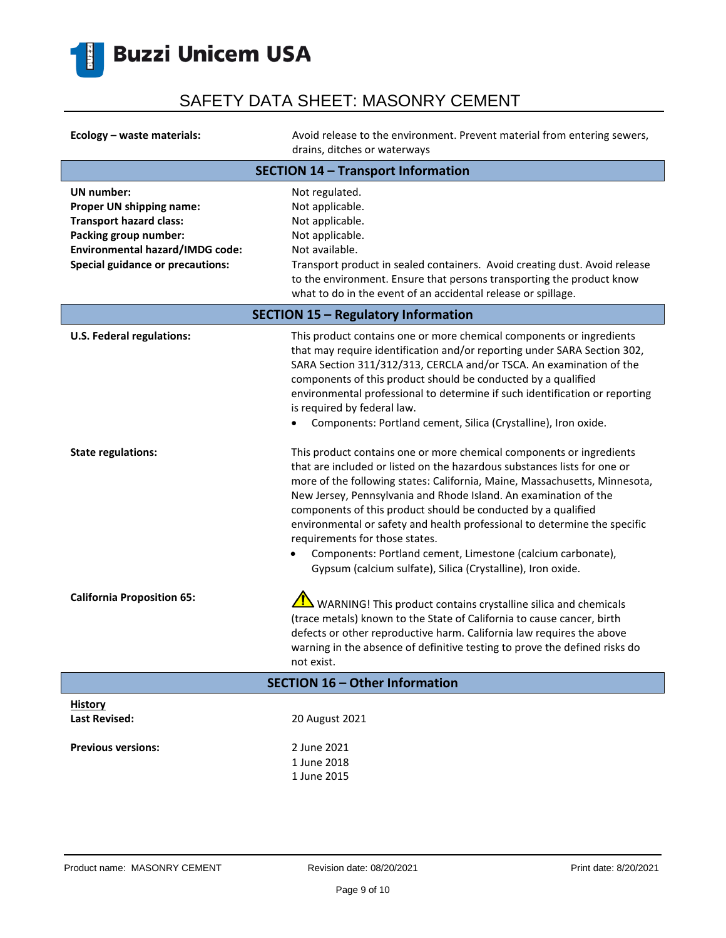

| Ecology - waste materials:                                                                                                                                                             | Avoid release to the environment. Prevent material from entering sewers,<br>drains, ditches or waterways                                                                                                                                                                                                                                                                                                                                                                                                                                                                                                                                                                                                                                                                                                                                                                                                                                                                                                                      |  |
|----------------------------------------------------------------------------------------------------------------------------------------------------------------------------------------|-------------------------------------------------------------------------------------------------------------------------------------------------------------------------------------------------------------------------------------------------------------------------------------------------------------------------------------------------------------------------------------------------------------------------------------------------------------------------------------------------------------------------------------------------------------------------------------------------------------------------------------------------------------------------------------------------------------------------------------------------------------------------------------------------------------------------------------------------------------------------------------------------------------------------------------------------------------------------------------------------------------------------------|--|
| <b>SECTION 14 - Transport Information</b>                                                                                                                                              |                                                                                                                                                                                                                                                                                                                                                                                                                                                                                                                                                                                                                                                                                                                                                                                                                                                                                                                                                                                                                               |  |
| <b>UN</b> number:<br>Proper UN shipping name:<br><b>Transport hazard class:</b><br>Packing group number:<br>Environmental hazard/IMDG code:<br><b>Special guidance or precautions:</b> | Not regulated.<br>Not applicable.<br>Not applicable.<br>Not applicable.<br>Not available.<br>Transport product in sealed containers. Avoid creating dust. Avoid release<br>to the environment. Ensure that persons transporting the product know<br>what to do in the event of an accidental release or spillage.                                                                                                                                                                                                                                                                                                                                                                                                                                                                                                                                                                                                                                                                                                             |  |
|                                                                                                                                                                                        | <b>SECTION 15 - Regulatory Information</b>                                                                                                                                                                                                                                                                                                                                                                                                                                                                                                                                                                                                                                                                                                                                                                                                                                                                                                                                                                                    |  |
| <b>U.S. Federal regulations:</b><br><b>State regulations:</b>                                                                                                                          | This product contains one or more chemical components or ingredients<br>that may require identification and/or reporting under SARA Section 302,<br>SARA Section 311/312/313, CERCLA and/or TSCA. An examination of the<br>components of this product should be conducted by a qualified<br>environmental professional to determine if such identification or reporting<br>is required by federal law.<br>Components: Portland cement, Silica (Crystalline), Iron oxide.<br>This product contains one or more chemical components or ingredients<br>that are included or listed on the hazardous substances lists for one or<br>more of the following states: California, Maine, Massachusetts, Minnesota,<br>New Jersey, Pennsylvania and Rhode Island. An examination of the<br>components of this product should be conducted by a qualified<br>environmental or safety and health professional to determine the specific<br>requirements for those states.<br>Components: Portland cement, Limestone (calcium carbonate), |  |
|                                                                                                                                                                                        | Gypsum (calcium sulfate), Silica (Crystalline), Iron oxide.                                                                                                                                                                                                                                                                                                                                                                                                                                                                                                                                                                                                                                                                                                                                                                                                                                                                                                                                                                   |  |
| <b>California Proposition 65:</b>                                                                                                                                                      | $\frac{1}{12}$ WARNING! This product contains crystalline silica and chemicals<br>(trace metals) known to the State of California to cause cancer, birth<br>defects or other reproductive harm. California law requires the above<br>warning in the absence of definitive testing to prove the defined risks do<br>not exist.                                                                                                                                                                                                                                                                                                                                                                                                                                                                                                                                                                                                                                                                                                 |  |
| SECTION 16 - Other Information                                                                                                                                                         |                                                                                                                                                                                                                                                                                                                                                                                                                                                                                                                                                                                                                                                                                                                                                                                                                                                                                                                                                                                                                               |  |
| <b>History</b><br><b>Last Revised:</b>                                                                                                                                                 | 20 August 2021                                                                                                                                                                                                                                                                                                                                                                                                                                                                                                                                                                                                                                                                                                                                                                                                                                                                                                                                                                                                                |  |
| <b>Previous versions:</b>                                                                                                                                                              | 2 June 2021<br>1 June 2018<br>1 June 2015                                                                                                                                                                                                                                                                                                                                                                                                                                                                                                                                                                                                                                                                                                                                                                                                                                                                                                                                                                                     |  |